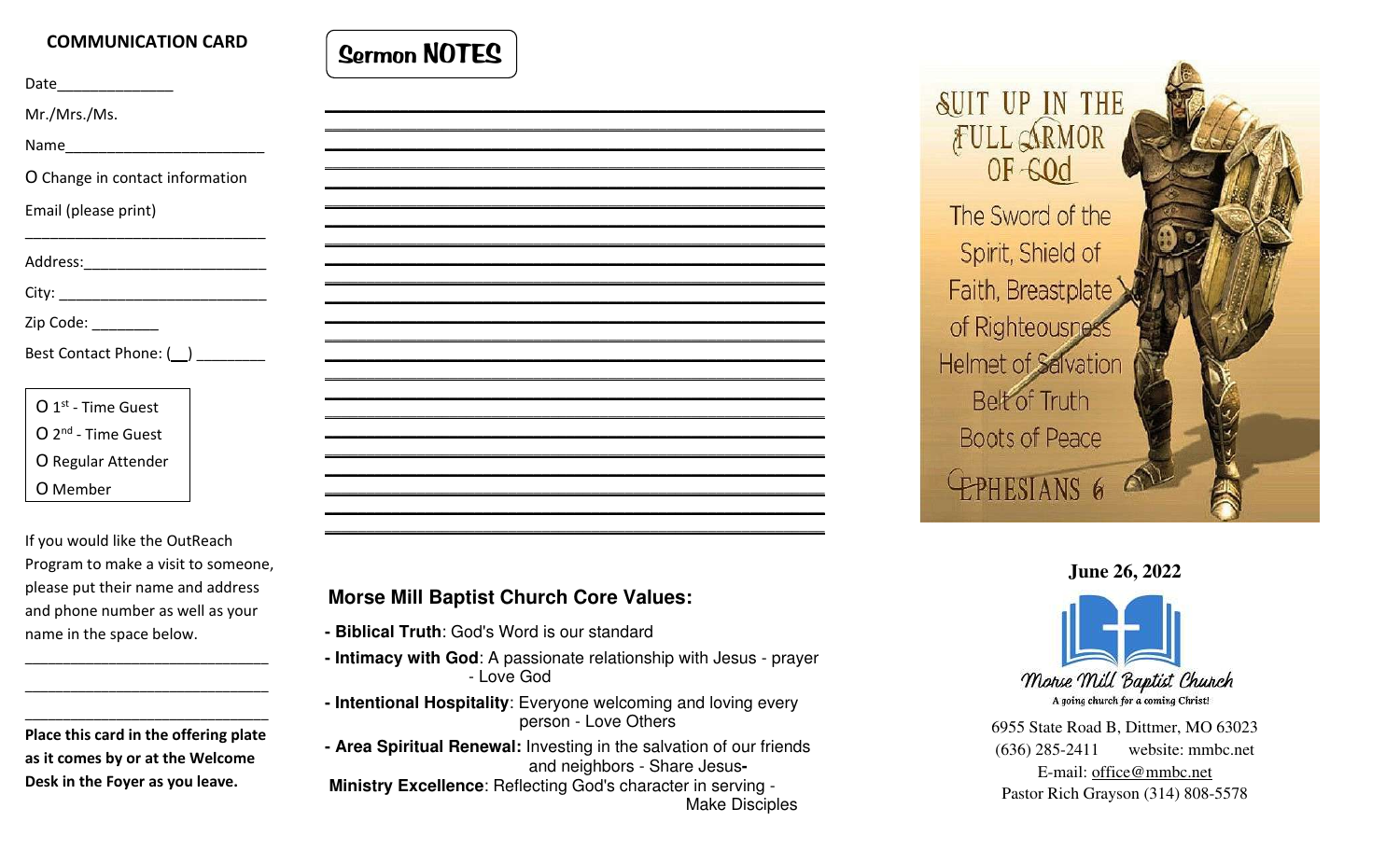## COMMUNICATION CARD

Date\_\_\_\_\_\_\_\_\_\_\_\_\_\_

Mr./Mrs./Ms.

Name

O Change in contact information

 $\overline{\phantom{a}}$  , and the contribution of the contribution of  $\overline{\phantom{a}}$ 

Email (please print)

Address:\_\_\_\_\_\_\_\_\_\_\_\_\_\_\_\_\_\_\_\_\_\_\_\_\_\_\_\_\_\_

City: \_\_\_\_\_\_\_\_\_\_\_\_\_\_\_\_\_\_\_\_\_\_\_\_\_

Zip Code: \_\_\_\_\_\_\_\_

Best Contact Phone: ()

O 1st - Time Guest O 2nd - Time Guest O Regular Attender O Member

If you would like the OutReach Program to make a visit to someone, please put their name and address and phone number as well as your name in the space below. Mr. Mr. Minimal (please print)<br>
and O Change in contact information<br>
and (please print)<br>
and (please print)<br>
and (please print)<br>
and (please print)<br>
O T<sup>-4</sup> Time Guest<br>
O Regular Attender<br>
O Regular Attender<br>
O Member<br>
Dis

 Place this card in the offering plate as it comes by or at the Welcome

\_\_\_\_\_\_\_\_\_\_\_\_\_\_\_\_\_\_\_\_\_\_\_\_\_\_\_\_\_\_\_\_ \_\_\_\_\_\_\_\_\_\_\_\_\_\_\_\_\_\_\_\_\_\_\_\_\_\_\_\_\_\_\_\_



- 
- 
- 
- 

Make Disciples







6955 State Road B, Dittmer, MO 63023 (636) 285-2411 website: mmbc.net E-mail: office@mmbc.net Pastor Rich Grayson (314) 808-5578